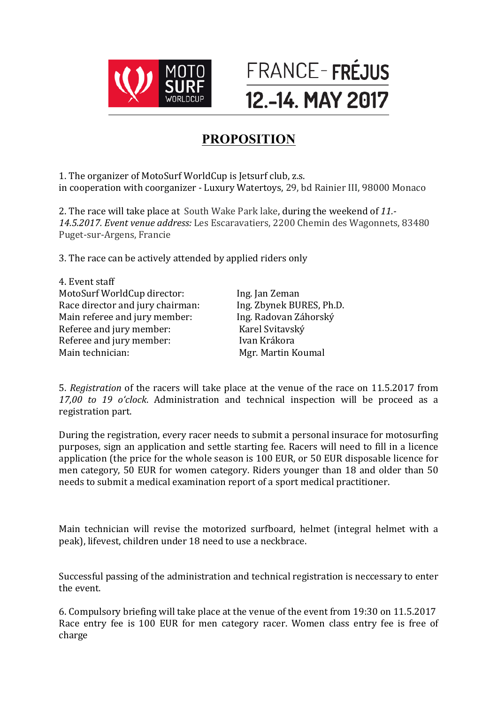



## **PROPOSITION**

1. The organizer of MotoSurf WorldCup is Jetsurf club, z.s. in cooperation with coorganizer - Luxury Watertoys, 29, bd Rainier III, 98000 Monaco

2. The race will take place at South Wake Park lake, during the weekend of 11.-14.5.2017. Event venue address: Les Escaravatiers, 2200 Chemin des Wagonnets, 83480 Puget-sur-Argens, Francie

3. The race can be actively attended by applied riders only

4. Event staff MotoSurf WorldCup director: lng. Jan Zeman<br>
Race director and jury chairman: lng. Zbynek BURES, Ph.D. Race director and jury chairman: Main referee and jury member: Ing. Radovan Záhorský Referee and jury member: Karel Svitavský Referee and jury member: Ivan Krákora Main technician: Mgr. Martin Koumal

5. *Registration* of the racers will take place at the venue of the race on 11.5.2017 from *17,00 to 19 o'clock*. Administration and technical inspection will be proceed as a registration part.

During the registration, every racer needs to submit a personal insurace for motosurfing purposes, sign an application and settle starting fee. Racers will need to fill in a licence application (the price for the whole season is 100 EUR, or 50 EUR disposable licence for men category, 50 EUR for women category. Riders younger than 18 and older than 50 needs to submit a medical examination report of a sport medical practitioner.

Main technician will revise the motorized surfboard, helmet (integral helmet with a peak), lifevest, children under 18 need to use a neckbrace.

Successful passing of the administration and technical registration is neccessary to enter the event.

6. Compulsory briefing will take place at the venue of the event from 19:30 on 11.5.2017 Race entry fee is 100 EUR for men category racer. Women class entry fee is free of charge